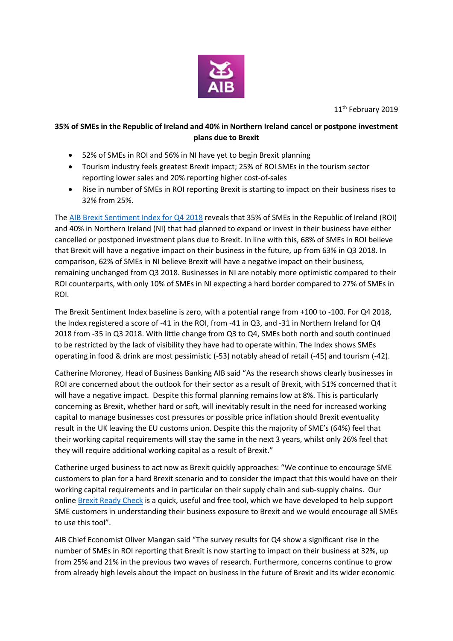

11<sup>th</sup> February 2019

## **35% of SMEs in the Republic of Ireland and 40% in Northern Ireland cancel or postpone investment plans due to Brexit**

- 52% of SMEs in ROI and 56% in NI have yet to begin Brexit planning
- Tourism industry feels greatest Brexit impact; 25% of ROI SMEs in the tourism sector reporting lower sales and 20% reporting higher cost-of-sales
- Rise in number of SMEs in ROI reporting Brexit is starting to impact on their business rises to 32% from 25%.

The [AIB Brexit Sentiment Index for Q4](https://aib.ie/content/dam/aib/fxcentre/docs/brexit-sentiment-index-q4-2018.pdf) 2018 reveals that 35% of SMEs in the Republic of Ireland (ROI) and 40% in Northern Ireland (NI) that had planned to expand or invest in their business have either cancelled or postponed investment plans due to Brexit. In line with this, 68% of SMEs in ROI believe that Brexit will have a negative impact on their business in the future, up from 63% in Q3 2018. In comparison, 62% of SMEs in NI believe Brexit will have a negative impact on their business, remaining unchanged from Q3 2018. Businesses in NI are notably more optimistic compared to their ROI counterparts, with only 10% of SMEs in NI expecting a hard border compared to 27% of SMEs in ROI.

The Brexit Sentiment Index baseline is zero, with a potential range from +100 to -100. For Q4 2018, the Index registered a score of -41 in the ROI, from -41 in Q3, and -31 in Northern Ireland for Q4 2018 from -35 in Q3 2018. With little change from Q3 to Q4, SMEs both north and south continued to be restricted by the lack of visibility they have had to operate within. The Index shows SMEs operating in food & drink are most pessimistic (-53) notably ahead of retail (-45) and tourism (-42).

Catherine Moroney, Head of Business Banking AIB said "As the research shows clearly businesses in ROI are concerned about the outlook for their sector as a result of Brexit, with 51% concerned that it will have a negative impact. Despite this formal planning remains low at 8%. This is particularly concerning as Brexit, whether hard or soft, will inevitably result in the need for increased working capital to manage businesses cost pressures or possible price inflation should Brexit eventuality result in the UK leaving the EU customs union. Despite this the majority of SME's (64%) feel that their working capital requirements will stay the same in the next 3 years, whilst only 26% feel that they will require additional working capital as a result of Brexit."

Catherine urged business to act now as Brexit quickly approaches: "We continue to encourage SME customers to plan for a hard Brexit scenario and to consider the impact that this would have on their working capital requirements and in particular on their supply chain and sub-supply chains. Our online [Brexit Ready Check](https://business.aib.ie/brexit-ready-check) is a quick, useful and free tool, which we have developed to help support SME customers in understanding their business exposure to Brexit and we would encourage all SMEs to use this tool".

AIB Chief Economist Oliver Mangan said "The survey results for Q4 show a significant rise in the number of SMEs in ROI reporting that Brexit is now starting to impact on their business at 32%, up from 25% and 21% in the previous two waves of research. Furthermore, concerns continue to grow from already high levels about the impact on business in the future of Brexit and its wider economic